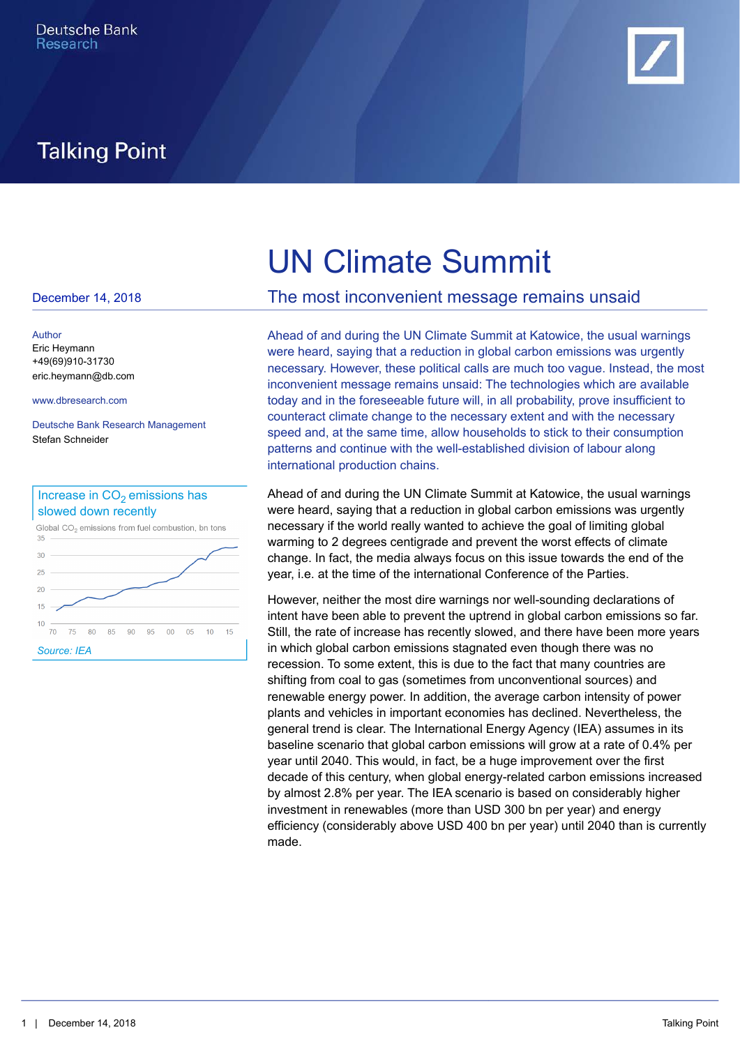

# **Talking Point**

#### December 14, 2018

Author [Eric Heymann](mailto:eric.heymann@db.com) +49(69)910-31730 [eric.heymann@db.com](mailto:eric.heymann@db.com)

Deutsche Bank Research Management Stefan Schneider



# UN Climate Summit

# The most inconvenient message remains unsaid

[www.dbresearch.com](http://www.dbresearch.com) today and in the foreseeable future will, in all probability, prove insufficient to Ahead of and during the UN Climate Summit at Katowice, the usual warnings were heard, saying that a reduction in global carbon emissions was urgently necessary. However, these political calls are much too vague. Instead, the most inconvenient message remains unsaid: The technologies which are available counteract climate change to the necessary extent and with the necessary speed and, at the same time, allow households to stick to their consumption patterns and continue with the well-established division of labour along international production chains.

> Ahead of and during the UN Climate Summit at Katowice, the usual warnings were heard, saying that a reduction in global carbon emissions was urgently necessary if the world really wanted to achieve the goal of limiting global warming to 2 degrees centigrade and prevent the worst effects of climate change. In fact, the media always focus on this issue towards the end of the year, i.e. at the time of the international Conference of the Parties.

However, neither the most dire warnings nor well-sounding declarations of intent have been able to prevent the uptrend in global carbon emissions so far. Still, the rate of increase has recently slowed, and there have been more years in which global carbon emissions stagnated even though there was no recession. To some extent, this is due to the fact that many countries are shifting from coal to gas (sometimes from unconventional sources) and renewable energy power. In addition, the average carbon intensity of power plants and vehicles in important economies has declined. Nevertheless, the general trend is clear. The International Energy Agency (IEA) assumes in its baseline scenario that global carbon emissions will grow at a rate of 0.4% per year until 2040. This would, in fact, be a huge improvement over the first decade of this century, when global energy-related carbon emissions increased by almost 2.8% per year. The IEA scenario is based on considerably higher investment in renewables (more than USD 300 bn per year) and energy efficiency (considerably above USD 400 bn per year) until 2040 than is currently made.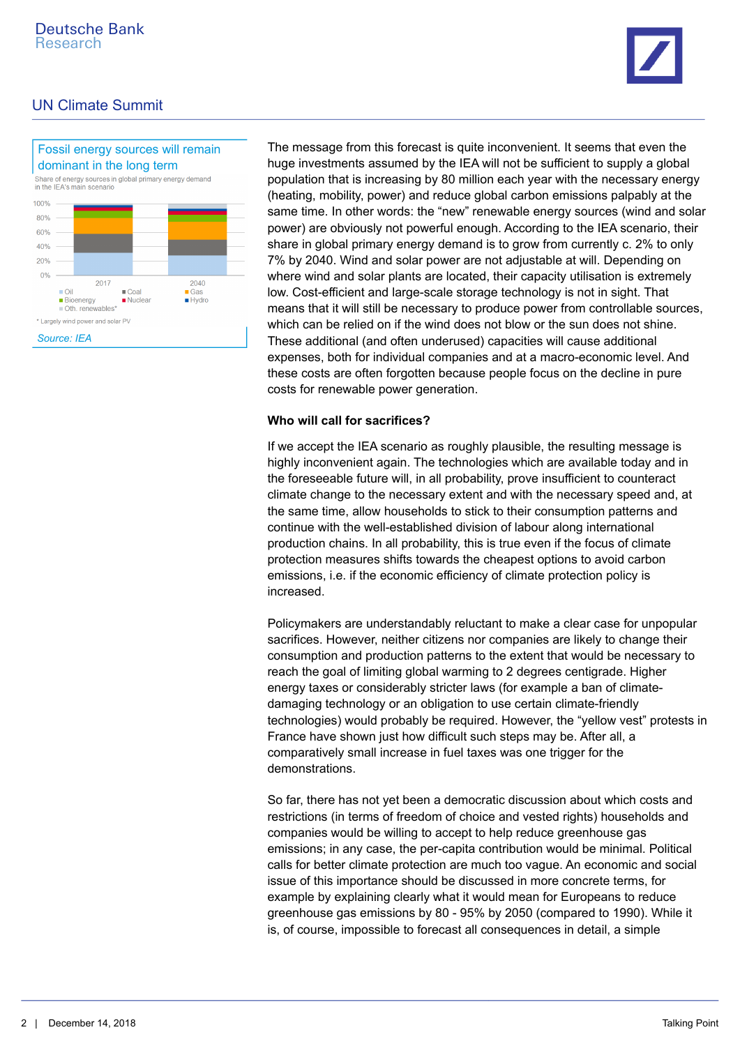

# UN Climate Summit



The message from this forecast is quite inconvenient. It seems that even the huge investments assumed by the IEA will not be sufficient to supply a global dominant in the long term population that is increasing by 80 million each year with the necessary energy (heating, mobility, power) and reduce global carbon emissions palpably at the same time. In other words: the "new" renewable energy sources (wind and solar power) are obviously not powerful enough. According to the IEA scenario, their share in global primary energy demand is to grow from currently c. 2% to only 7% by 2040. Wind and solar power are not adjustable at will. Depending on where wind and solar plants are located, their capacity utilisation is extremely low. Cost-efficient and large-scale storage technology is not in sight. That means that it will still be necessary to produce power from controllable sources, which can be relied on if the wind does not blow or the sun does not shine. These additional (and often underused) capacities will cause additional expenses, both for individual companies and at a macro-economic level. And these costs are often forgotten because people focus on the decline in pure costs for renewable power generation.

#### **Who will call for sacrifices?**

If we accept the IEA scenario as roughly plausible, the resulting message is highly inconvenient again. The technologies which are available today and in the foreseeable future will, in all probability, prove insufficient to counteract climate change to the necessary extent and with the necessary speed and, at the same time, allow households to stick to their consumption patterns and continue with the well-established division of labour along international production chains. In all probability, this is true even if the focus of climate protection measures shifts towards the cheapest options to avoid carbon emissions, i.e. if the economic efficiency of climate protection policy is increased.

Policymakers are understandably reluctant to make a clear case for unpopular sacrifices. However, neither citizens nor companies are likely to change their consumption and production patterns to the extent that would be necessary to reach the goal of limiting global warming to 2 degrees centigrade. Higher energy taxes or considerably stricter laws (for example a ban of climatedamaging technology or an obligation to use certain climate-friendly technologies) would probably be required. However, the "yellow vest" protests in France have shown just how difficult such steps may be. After all, a comparatively small increase in fuel taxes was one trigger for the demonstrations.

So far, there has not yet been a democratic discussion about which costs and restrictions (in terms of freedom of choice and vested rights) households and companies would be willing to accept to help reduce greenhouse gas emissions; in any case, the per-capita contribution would be minimal. Political calls for better climate protection are much too vague. An economic and social issue of this importance should be discussed in more concrete terms, for example by explaining clearly what it would mean for Europeans to reduce greenhouse gas emissions by 80 - 95% by 2050 (compared to 1990). While it is, of course, impossible to forecast all consequences in detail, a simple